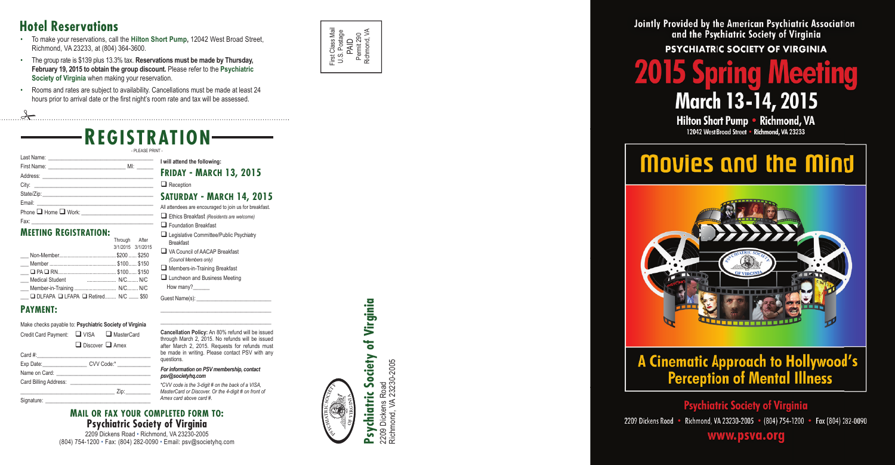

# of Virginia **Psychiatric Society of Virginia Society** rchiatric Psy

2209 Dickens Road<br>Richmond, VA 23230-2005 Richmond, VA 23230-2005 2209 Dickens Road

Jointly Provided by the American Psychiatric Association and the Psychiatric Society of Virginia **PSYCHIATRIC SOCIETY OF VIRGINIA** 



# **2015 Spring Meeti March 13-14, 2015** Hilton Short Pump . Richmond, VA

12042 West Broad Street • Richmond, VA 23233

# Movies and the Mind

# **A Cinematic Approach to Hollywood's**<br>**Perception of Mental Illness**

## **Psychiatric Society of Virginia**

2209 Dickens Road · Richmond, VA 23230-2005 · (804) 754-1200 · Fax (804) 282-0090

## www.psva.org

- To make your reservations, call the **Hilton Short Pump,** 12042 West Broad Street, Richmond, VA 23233, at (804) 364-3600.
- The group rate is \$139 plus 13.3% tax. **Reservations must be made by Thursday, February 19, 2015 to obtain the group discount.** Please refer to the **Psychiatric Society of Virginia** when making your reservation.
- Rooms and rates are subject to availability. Cancellations must be made at least 24 hours prior to arrival date or the first night's room rate and tax will be assessed

**PSYCHIATRIC SOCIETY**

**OF VIRGINIA**

## **REGISTRATION**

- PLEASE PRINT

## **I will attend the following:**

## **FRIDAY - MARCH 13, 2015**

 $\Box$  Reception

#### **SATURDAY - MARCH 14, 2015**

I attendees are encouraged to join us for breakfast. Ethics Breakfast *(Residents are welcome)* **Exercise Foundation Breakfast** 

- Legislative Committee/Public Psychiatry Breakfast
- VA Council of AACAP Breakfast *(Council Members only)*
- Members-in-Training Breakfast
- **Luncheon and Business Meeting**
- How many?

Guest Name(s):

\_\_\_\_\_\_\_\_\_\_\_\_\_\_\_\_\_\_\_\_\_\_\_\_\_\_\_\_\_\_\_\_\_\_\_\_\_\_\_\_

Make checks payable to: **Psychiatric Society of Virginia**  Credit Card Payment: U VISA A MasterCard  $\Box$  Discover  $\Box$  Amex

| Phone <b>Q</b> Home <b>Q</b> Work: _________________________ |  |
|--------------------------------------------------------------|--|
|                                                              |  |

#### **MEETING REGISTRATION:**

\_\_\_\_\_\_\_\_\_\_\_\_\_\_\_\_\_\_\_\_\_\_\_\_\_\_\_\_\_\_\_\_\_\_\_\_\_\_\_\_ **Cancellation Policy:** An 80% refund will be issued through March 2, 2015. No refunds will be issued after March 2, 2015. Requests for refunds must

|                                      | Through After     |  |
|--------------------------------------|-------------------|--|
|                                      | 3/1/2015 3/1/2015 |  |
|                                      |                   |  |
|                                      |                   |  |
|                                      |                   |  |
| Medical Student                      |                   |  |
|                                      |                   |  |
| □ DLFAPA □ LFAPA □ Retired N/C  \$50 |                   |  |
|                                      |                   |  |

#### **PAYMENT:**

#### *For information on PSV membership, contact psv@societyhq.com*

#### **MAIL OR FAX YOUR COMPLETED FORM TO: Psychiatric Society of Virginia**

2209 Dickens Road • Richmond, VA 23230-2005 (804) 754-1200 • Fax: (804) 282-0090 • Email: psv@societyhq.com

be made in writing. Please contact PSV with any questions.

| Card #:                             |            |
|-------------------------------------|------------|
| Exp Date:                           | CVV Code:* |
| Name on Card: Name on Card Services |            |
| Card Billing Address:               |            |
|                                     | Zip:       |
|                                     |            |

Signature

*\*CVV code is the 3-digit # on the back of a VISA, MasterCard or Discover. Or the 4-digit # on front of Amex card above card #.*

## **Hotel Reservations**